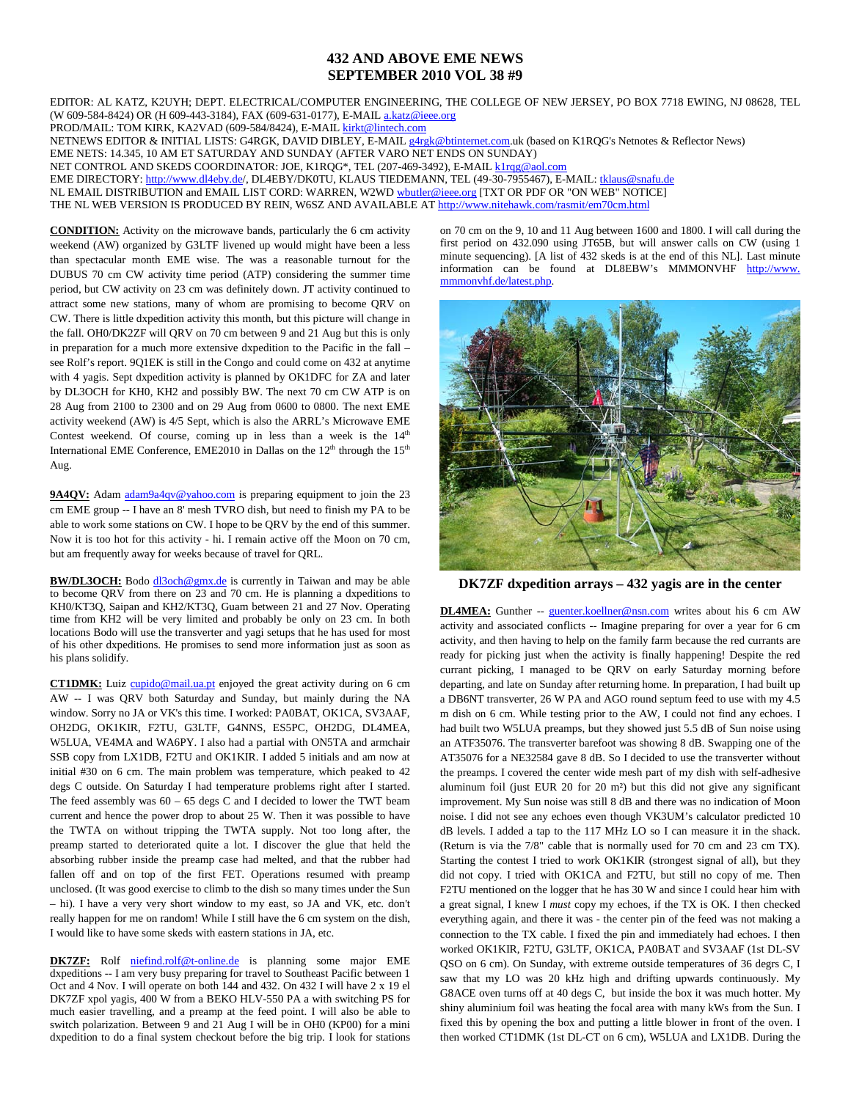## **432 AND ABOVE EME NEWS SEPTEMBER 2010 VOL 38 #9**

EDITOR: AL KATZ, K2UYH; DEPT. ELECTRICAL/COMPUTER ENGINEERING, THE COLLEGE OF NEW JERSEY, PO BOX 7718 EWING, NJ 08628, TEL (W 609-584-8424) OR (H 609-443-3184), FAX (609-631-0177), E-MAI[L a.katz@ieee.org](mailto:a.katz@ieee.org)

PROD/MAIL: TOM KIRK, KA2VAD (609-584/8424), E-MAI[L kirkt@lintech.com](mailto:kirkt@lintech.com) 

NETNEWS EDITOR & INITIAL LISTS: G4RGK, DAVID DIBLEY, E-MAI[L g4rgk@btinternet.com.](mailto:g4rgk@btinternet.com)uk (based on K1RQG's Netnotes & Reflector News)

EME NETS: 14.345, 10 AM ET SATURDAY AND SUNDAY (AFTER VARO NET ENDS ON SUNDAY)

NET CONTROL AND SKEDS COORDINATOR: JOE, K1RQG\*, TEL (207-469-3492), E-MAI[L k1rqg@aol.com](mailto:k1rqg@aol.com)

EME DIRECTORY: [http://www.dl4eby.de/,](http://www.dl4eby.de/) DL4EBY/DK0TU, KLAUS TIEDEMANN, TEL (49-30-7955467), E-MAIL[: tklaus@snafu.de](mailto:tklaus@snafu.de)

NL EMAIL DISTRIBUTION and EMAIL LIST CORD: WARREN, W2W[D wbutler@ieee.org](mailto:wbutler@ieee.org) [TXT OR PDF OR "ON WEB" NOTICE]

THE NL WEB VERSION IS PRODUCED BY REIN, W6SZ AND AVAILABLE A[T http://www.nitehawk.com/rasmit/em70cm.html](http://www.nitehawk.com/rasmit/em70cm.html)

**CONDITION:** Activity on the microwave bands, particularly the 6 cm activity weekend (AW) organized by G3LTF livened up would might have been a less than spectacular month EME wise. The was a reasonable turnout for the DUBUS 70 cm CW activity time period (ATP) considering the summer time period, but CW activity on 23 cm was definitely down. JT activity continued to attract some new stations, many of whom are promising to become QRV on CW. There is little dxpedition activity this month, but this picture will change in the fall. OH0/DK2ZF will QRV on 70 cm between 9 and 21 Aug but this is only in preparation for a much more extensive dxpedition to the Pacific in the fall – see Rolf's report. 9Q1EK is still in the Congo and could come on 432 at anytime with 4 yagis. Sept dxpedition activity is planned by OK1DFC for ZA and later by DL3OCH for KH0, KH2 and possibly BW. The next 70 cm CW ATP is on 28 Aug from 2100 to 2300 and on 29 Aug from 0600 to 0800. The next EME activity weekend (AW) is 4/5 Sept, which is also the ARRL's Microwave EME Contest weekend. Of course, coming up in less than a week is the  $14<sup>th</sup>$ International EME Conference, EME2010 in Dallas on the  $12<sup>th</sup>$  through the  $15<sup>th</sup>$ Aug.

**9A4QV:** Ada[m adam9a4qv@yahoo.com](mailto:adam9a4qv@yahoo.com) is preparing equipment to join the 23 cm EME group -- I have an 8' mesh TVRO dish, but need to finish my PA to be able to work some stations on CW. I hope to be QRV by the end of this summer. Now it is too hot for this activity - hi. I remain active off the Moon on 70 cm, but am frequently away for weeks because of travel for QRL.

BW/DL3OCH: Bodo [dl3och@gmx.de](mailto:dl3och@gmx.de) is currently in Taiwan and may be able to become QRV from there on 23 and 70 cm. He is planning a dxpeditions to KH0/KT3Q, Saipan and KH2/KT3Q, Guam between 21 and 27 Nov. Operating time from KH2 will be very limited and probably be only on 23 cm. In both locations Bodo will use the transverter and yagi setups that he has used for most of his other dxpeditions. He promises to send more information just as soon as his plans solidify.

**CT1DMK:** Luiz [cupido@mail.ua.pt](mailto:cupido@mail.ua.pt) enjoyed the great activity during on 6 cm AW -- I was QRV both Saturday and Sunday, but mainly during the NA window. Sorry no JA or VK's this time. I worked: PA0BAT, OK1CA, SV3AAF, OH2DG, OK1KIR, F2TU, G3LTF, G4NNS, ES5PC, OH2DG, DL4MEA, W5LUA, VE4MA and WA6PY. I also had a partial with ON5TA and armchair SSB copy from LX1DB, F2TU and OK1KIR. I added 5 initials and am now at initial #30 on 6 cm. The main problem was temperature, which peaked to 42 degs C outside. On Saturday I had temperature problems right after I started. The feed assembly was 60 – 65 degs C and I decided to lower the TWT beam current and hence the power drop to about 25 W. Then it was possible to have the TWTA on without tripping the TWTA supply. Not too long after, the preamp started to deteriorated quite a lot. I discover the glue that held the absorbing rubber inside the preamp case had melted, and that the rubber had fallen off and on top of the first FET. Operations resumed with preamp unclosed. (It was good exercise to climb to the dish so many times under the Sun – hi). I have a very very short window to my east, so JA and VK, etc. don't really happen for me on random! While I still have the 6 cm system on the dish, I would like to have some skeds with eastern stations in JA, etc.

**DK7ZF:** Rolf [niefind.rolf@t-online.de](mailto:niefind.rolf@t-online.de) is planning some major EME dxpeditions -- I am very busy preparing for travel to Southeast Pacific between 1 Oct and 4 Nov. I will operate on both 144 and 432. On 432 I will have 2 x 19 el DK7ZF xpol yagis, 400 W from a BEKO HLV-550 PA a with switching PS for much easier travelling, and a preamp at the feed point. I will also be able to switch polarization. Between 9 and 21 Aug I will be in OH0 (KP00) for a mini dxpedition to do a final system checkout before the big trip. I look for stations

on 70 cm on the 9, 10 and 11 Aug between 1600 and 1800. I will call during the first period on 432.090 using JT65B, but will answer calls on CW (using 1 minute sequencing). [A list of 432 skeds is at the end of this NL]. Last minute information can be found at DL8EBW's MMMONVHF http://www. mmmonvhf.de/latest.php.



**DK7ZF dxpedition arrays – 432 yagis are in the center**

**DL4MEA:** Gunther -- [guenter.koellner@nsn.com](mailto:guenter.koellner@nsn.com) writes about his 6 cm AW activity and associated conflicts -- Imagine preparing for over a year for 6 cm activity, and then having to help on the family farm because the red currants are ready for picking just when the activity is finally happening! Despite the red currant picking, I managed to be QRV on early Saturday morning before departing, and late on Sunday after returning home. In preparation, I had built up a DB6NT transverter, 26 W PA and AGO round septum feed to use with my 4.5 m dish on 6 cm. While testing prior to the AW, I could not find any echoes. I had built two W5LUA preamps, but they showed just 5.5 dB of Sun noise using an ATF35076. The transverter barefoot was showing 8 dB. Swapping one of the AT35076 for a NE32584 gave 8 dB. So I decided to use the transverter without the preamps. I covered the center wide mesh part of my dish with self-adhesive aluminum foil (just EUR 20 for 20 m²) but this did not give any significant improvement. My Sun noise was still 8 dB and there was no indication of Moon noise. I did not see any echoes even though VK3UM's calculator predicted 10 dB levels. I added a tap to the 117 MHz LO so I can measure it in the shack. (Return is via the 7/8" cable that is normally used for 70 cm and 23 cm TX). Starting the contest I tried to work OK1KIR (strongest signal of all), but they did not copy. I tried with OK1CA and F2TU, but still no copy of me. Then F2TU mentioned on the logger that he has 30 W and since I could hear him with a great signal, I knew I *must* copy my echoes, if the TX is OK. I then checked everything again, and there it was - the center pin of the feed was not making a connection to the TX cable. I fixed the pin and immediately had echoes. I then worked OK1KIR, F2TU, G3LTF, OK1CA, PA0BAT and SV3AAF (1st DL-SV QSO on 6 cm). On Sunday, with extreme outside temperatures of 36 degrs C, I saw that my LO was 20 kHz high and drifting upwards continuously. My G8ACE oven turns off at 40 degs C, but inside the box it was much hotter. My shiny aluminium foil was heating the focal area with many kWs from the Sun. I fixed this by opening the box and putting a little blower in front of the oven. I then worked CT1DMK (1st DL-CT on 6 cm), W5LUA and LX1DB. During the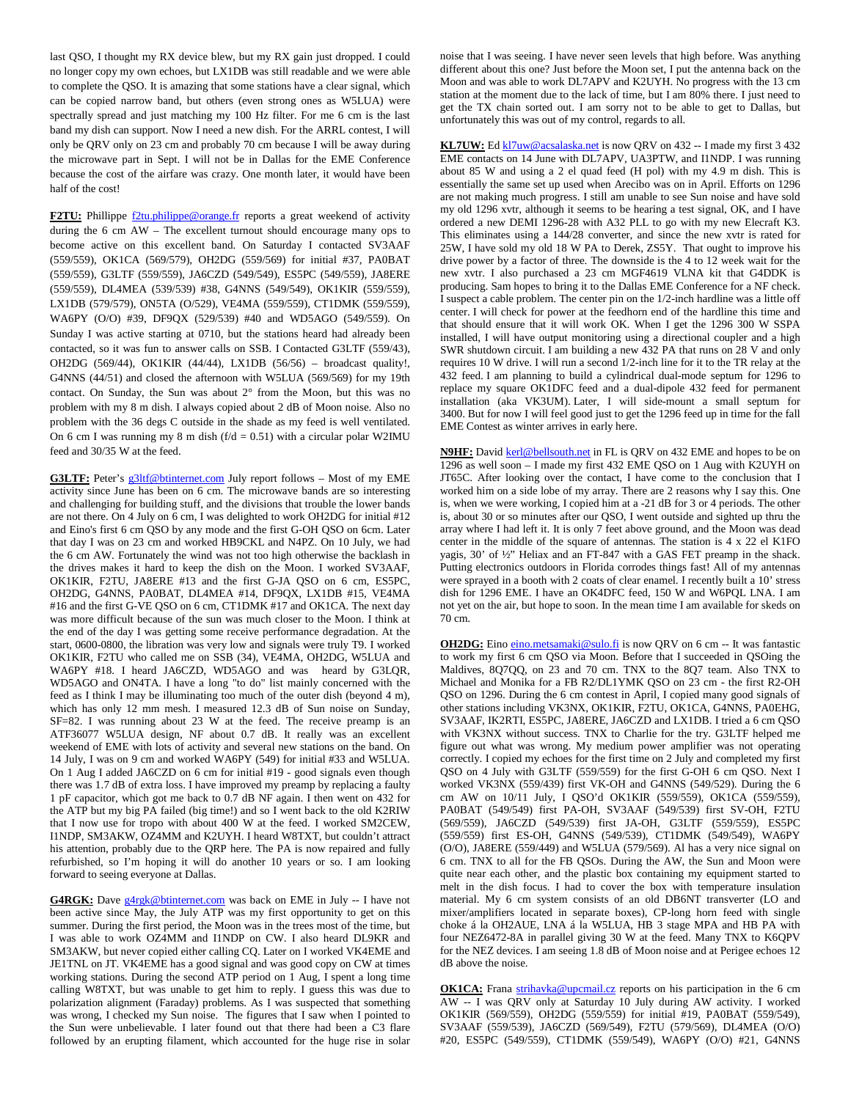last QSO, I thought my RX device blew, but my RX gain just dropped. I could no longer copy my own echoes, but LX1DB was still readable and we were able to complete the QSO. It is amazing that some stations have a clear signal, which can be copied narrow band, but others (even strong ones as W5LUA) were spectrally spread and just matching my 100 Hz filter. For me 6 cm is the last band my dish can support. Now I need a new dish. For the ARRL contest, I will only be QRV only on 23 cm and probably 70 cm because I will be away during the microwave part in Sept. I will not be in Dallas for the EME Conference because the cost of the airfare was crazy. One month later, it would have been half of the cost!

**F2TU:** Phillippe [f2tu.philippe@orange.fr](mailto:f2tu.philippe@orange.fr) reports a great weekend of activity during the 6 cm AW – The excellent turnout should encourage many ops to become active on this excellent band. On Saturday I contacted SV3AAF (559/559), OK1CA (569/579), OH2DG (559/569) for initial #37, PA0BAT (559/559), G3LTF (559/559), JA6CZD (549/549), ES5PC (549/559), JA8ERE (559/559), DL4MEA (539/539) #38, G4NNS (549/549), OK1KIR (559/559), LX1DB (579/579), ON5TA (O/529), VE4MA (559/559), CT1DMK (559/559), WA6PY (O/O) #39, DF9QX (529/539) #40 and WD5AGO (549/559). On Sunday I was active starting at 0710, but the stations heard had already been contacted, so it was fun to answer calls on SSB. I Contacted G3LTF (559/43), OH2DG (569/44), OK1KIR (44/44), LX1DB (56/56) – broadcast quality!, G4NNS (44/51) and closed the afternoon with W5LUA (569/569) for my 19th contact. On Sunday, the Sun was about 2° from the Moon, but this was no problem with my 8 m dish. I always copied about 2 dB of Moon noise. Also no problem with the 36 degs C outside in the shade as my feed is well ventilated. On 6 cm I was running my 8 m dish ( $f/d = 0.51$ ) with a circular polar W2IMU feed and 30/35 W at the feed.

G3LTF: Peter's [g3ltf@btinternet.com](mailto:g3ltf@btinternet.com) July report follows - Most of my EME activity since June has been on 6 cm. The microwave bands are so interesting and challenging for building stuff, and the divisions that trouble the lower bands are not there. On 4 July on 6 cm, I was delighted to work OH2DG for initial #12 and Eino's first 6 cm QSO by any mode and the first G-OH QSO on 6cm. Later that day I was on 23 cm and worked HB9CKL and N4PZ. On 10 July, we had the 6 cm AW. Fortunately the wind was not too high otherwise the backlash in the drives makes it hard to keep the dish on the Moon. I worked SV3AAF, OK1KIR, F2TU, JA8ERE #13 and the first G-JA QSO on 6 cm, ES5PC, OH2DG, G4NNS, PA0BAT, DL4MEA #14, DF9QX, LX1DB #15, VE4MA #16 and the first G-VE QSO on 6 cm, CT1DMK #17 and OK1CA. The next day was more difficult because of the sun was much closer to the Moon. I think at the end of the day I was getting some receive performance degradation. At the start, 0600-0800, the libration was very low and signals were truly T9. I worked OK1KIR, F2TU who called me on SSB (34), VE4MA, OH2DG, W5LUA and WA6PY #18. I heard JA6CZD, WD5AGO and was heard by G3LQR, WD5AGO and ON4TA. I have a long "to do" list mainly concerned with the feed as I think I may be illuminating too much of the outer dish (beyond 4 m), which has only 12 mm mesh. I measured 12.3 dB of Sun noise on Sunday, SF=82. I was running about 23 W at the feed. The receive preamp is an ATF36077 W5LUA design, NF about 0.7 dB. It really was an excellent weekend of EME with lots of activity and several new stations on the band. On 14 July, I was on 9 cm and worked WA6PY (549) for initial #33 and W5LUA. On 1 Aug I added JA6CZD on 6 cm for initial #19 - good signals even though there was 1.7 dB of extra loss. I have improved my preamp by replacing a faulty 1 pF capacitor, which got me back to 0.7 dB NF again. I then went on 432 for the ATP but my big PA failed (big time!) and so I went back to the old K2RIW that I now use for tropo with about 400 W at the feed. I worked SM2CEW, I1NDP, SM3AKW, OZ4MM and K2UYH. I heard W8TXT, but couldn't attract his attention, probably due to the QRP here. The PA is now repaired and fully refurbished, so I'm hoping it will do another 10 years or so. I am looking forward to seeing everyone at Dallas.

**G4RGK:** Dave [g4rgk@btinternet.com](mailto:g4rgk@btinternet.com) was back on EME in July -- I have not been active since May, the July ATP was my first opportunity to get on this summer. During the first period, the Moon was in the trees most of the time, but I was able to work OZ4MM and I1NDP on CW. I also heard DL9KR and SM3AKW, but never copied either calling CQ. Later on I worked VK4EME and JE1TNL on JT. VK4EME has a good signal and was good copy on CW at times working stations. During the second ATP period on 1 Aug, I spent a long time calling W8TXT, but was unable to get him to reply. I guess this was due to polarization alignment (Faraday) problems. As I was suspected that something was wrong, I checked my Sun noise. The figures that I saw when I pointed to the Sun were unbelievable. I later found out that there had been a C3 flare followed by an erupting filament, which accounted for the huge rise in solar

noise that I was seeing. I have never seen levels that high before. Was anything different about this one? Just before the Moon set, I put the antenna back on the Moon and was able to work DL7APV and K2UYH. No progress with the 13 cm station at the moment due to the lack of time, but I am 80% there. I just need to get the TX chain sorted out. I am sorry not to be able to get to Dallas, but unfortunately this was out of my control, regards to all.

KL7UW: Ed [kl7uw@acsalaska.net](mailto:kl7uw@acsalaska.net) is now QRV on 432 -- I made my first 3 432 EME contacts on 14 June with DL7APV, UA3PTW, and I1NDP. I was running about 85 W and using a 2 el quad feed (H pol) with my 4.9 m dish. This is essentially the same set up used when Arecibo was on in April. Efforts on 1296 are not making much progress. I still am unable to see Sun noise and have sold my old 1296 xvtr, although it seems to be hearing a test signal, OK, and I have ordered a new DEMI 1296-28 with A32 PLL to go with my new Elecraft K3. This eliminates using a 144/28 converter, and since the new xvtr is rated for 25W, I have sold my old 18 W PA to Derek, ZS5Y. That ought to improve his drive power by a factor of three. The downside is the 4 to 12 week wait for the new xvtr. I also purchased a 23 cm MGF4619 VLNA kit that G4DDK is producing. Sam hopes to bring it to the Dallas EME Conference for a NF check. I suspect a cable problem. The center pin on the 1/2-inch hardline was a little off center. I will check for power at the feedhorn end of the hardline this time and that should ensure that it will work OK. When I get the 1296 300 W SSPA installed, I will have output monitoring using a directional coupler and a high SWR shutdown circuit. I am building a new 432 PA that runs on 28 V and only requires 10 W drive. I will run a second 1/2-inch line for it to the TR relay at the 432 feed. I am planning to build a cylindrical dual-mode septum for 1296 to replace my square OK1DFC feed and a dual-dipole 432 feed for permanent installation (aka VK3UM). Later, I will side-mount a small septum for 3400. But for now I will feel good just to get the 1296 feed up in time for the fall EME Contest as winter arrives in early here.

**N9HF:** David [kerl@bellsouth.net](mailto:kerl@bellsouth.net) in FL is QRV on 432 EME and hopes to be on 1296 as well soon – I made my first 432 EME QSO on 1 Aug with K2UYH on JT65C. After looking over the contact, I have come to the conclusion that I worked him on a side lobe of my array. There are 2 reasons why I say this. One is, when we were working, I copied him at a -21 dB for 3 or 4 periods. The other is, about 30 or so minutes after our QSO, I went outside and sighted up thru the array where I had left it. It is only 7 feet above ground, and the Moon was dead center in the middle of the square of antennas. The station is 4 x 22 el K1FO yagis, 30' of ½" Heliax and an FT-847 with a GAS FET preamp in the shack. Putting electronics outdoors in Florida corrodes things fast! All of my antennas were sprayed in a booth with 2 coats of clear enamel. I recently built a 10' stress dish for 1296 EME. I have an OK4DFC feed, 150 W and W6PQL LNA. I am not yet on the air, but hope to soon. In the mean time I am available for skeds on 70 cm.

**OH2DG:** Ein[o eino.metsamaki@sulo.fi](mailto:eino.metsamaki@sulo.fi) is now QRV on 6 cm -- It was fantastic to work my first 6 cm QSO via Moon. Before that I succeeded in QSOing the Maldives, 8Q7QQ, on 23 and 70 cm. TNX to the 8Q7 team. Also TNX to Michael and Monika for a FB R2/DL1YMK QSO on 23 cm - the first R2-OH QSO on 1296. During the 6 cm contest in April, I copied many good signals of other stations including VK3NX, OK1KIR, F2TU, OK1CA, G4NNS, PA0EHG, SV3AAF, IK2RTI, ES5PC, JA8ERE, JA6CZD and LX1DB. I tried a 6 cm QSO with VK3NX without success. TNX to Charlie for the try. G3LTF helped me figure out what was wrong. My medium power amplifier was not operating correctly. I copied my echoes for the first time on 2 July and completed my first QSO on 4 July with G3LTF (559/559) for the first G-OH 6 cm QSO. Next I worked VK3NX (559/439) first VK-OH and G4NNS (549/529). During the 6 cm AW on 10/11 July, I QSO'd OK1KIR (559/559), OK1CA (559/559), PA0BAT (549/549) first PA-OH, SV3AAF (549/539) first SV-OH, F2TU (569/559), JA6CZD (549/539) first JA-OH, G3LTF (559/559), ES5PC (559/559) first ES-OH, G4NNS (549/539), CT1DMK (549/549), WA6PY (O/O), JA8ERE (559/449) and W5LUA (579/569). Al has a very nice signal on 6 cm. TNX to all for the FB QSOs. During the AW, the Sun and Moon were quite near each other, and the plastic box containing my equipment started to melt in the dish focus. I had to cover the box with temperature insulation material. My 6 cm system consists of an old DB6NT transverter (LO and mixer/amplifiers located in separate boxes), CP-long horn feed with single choke á la OH2AUE, LNA á la W5LUA, HB 3 stage MPA and HB PA with four NEZ6472-8A in parallel giving 30 W at the feed. Many TNX to K6QPV for the NEZ devices. I am seeing 1.8 dB of Moon noise and at Perigee echoes 12 dB above the noise.

**OK1CA:** Frana [strihavka@upcmail.cz](mailto:strihavka@upcmail.cz) reports on his participation in the 6 cm AW -- I was QRV only at Saturday 10 July during AW activity. I worked OK1KIR (569/559), OH2DG (559/559) for initial #19, PA0BAT (559/549), SV3AAF (559/539), JA6CZD (569/549), F2TU (579/569), DL4MEA (O/O) #20, ES5PC (549/559), CT1DMK (559/549), WA6PY (O/O) #21, G4NNS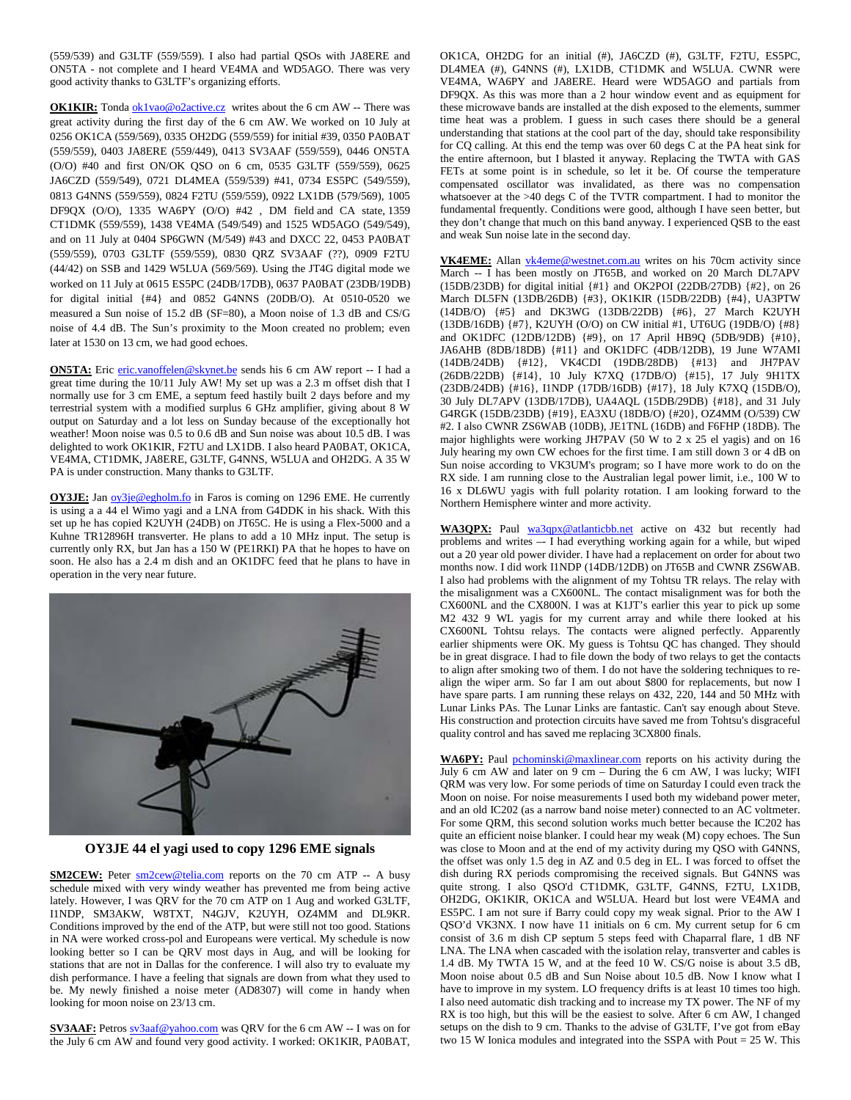(559/539) and G3LTF (559/559). I also had partial QSOs with JA8ERE and ON5TA - not complete and I heard VE4MA and WD5AGO. There was very good activity thanks to G3LTF's organizing efforts.

**OK1KIR:** Tonda **ok1vao@o2active.cz** writes about the 6 cm AW -- There was great activity during the first day of the 6 cm AW. We worked on 10 July at 0256 OK1CA (559/569), 0335 OH2DG (559/559) for initial #39, 0350 PA0BAT (559/559), 0403 JA8ERE (559/449), 0413 SV3AAF (559/559), 0446 ON5TA (O/O) #40 and first ON/OK QSO on 6 cm, 0535 G3LTF (559/559), 0625 JA6CZD (559/549), 0721 DL4MEA (559/539) #41, 0734 ES5PC (549/559), 0813 G4NNS (559/559), 0824 F2TU (559/559), 0922 LX1DB (579/569), 1005 DF9QX (O/O), 1335 WA6PY (O/O) #42 , DM field and CA state, 1359 CT1DMK (559/559), 1438 VE4MA (549/549) and 1525 WD5AGO (549/549), and on 11 July at 0404 SP6GWN (M/549) #43 and DXCC 22, 0453 PA0BAT (559/559), 0703 G3LTF (559/559), 0830 QRZ SV3AAF (??), 0909 F2TU (44/42) on SSB and 1429 W5LUA (569/569). Using the JT4G digital mode we worked on 11 July at 0615 ES5PC (24DB/17DB), 0637 PA0BAT (23DB/19DB) for digital initial {#4} and 0852 G4NNS (20DB/O). At 0510-0520 we measured a Sun noise of 15.2 dB (SF=80), a Moon noise of 1.3 dB and CS/G noise of 4.4 dB. The Sun's proximity to the Moon created no problem; even later at 1530 on 13 cm, we had good echoes.

**ON5TA:** Eri[c eric.vanoffelen@skynet.be](mailto:eric.vanoffelen@skynet.be) sends his 6 cm AW report -- I had a great time during the 10/11 July AW! My set up was a 2.3 m offset dish that I normally use for 3 cm EME, a septum feed hastily built 2 days before and my terrestrial system with a modified surplus 6 GHz amplifier, giving about 8 W output on Saturday and a lot less on Sunday because of the exceptionally hot weather! Moon noise was 0.5 to 0.6 dB and Sun noise was about 10.5 dB. I was delighted to work OK1KIR, F2TU and LX1DB. I also heard PA0BAT, OK1CA, VE4MA, CT1DMK, JA8ERE, G3LTF, G4NNS, W5LUA and OH2DG. A 35 W PA is under construction. Many thanks to G3LTF.

**OY3JE:** Jan ov<sub>3je</sub>@egholm.fo in Faros is coming on 1296 EME. He currently is using a a 44 el Wimo yagi and a LNA from G4DDK in his shack. With this set up he has copied K2UYH (24DB) on JT65C. He is using a Flex-5000 and a Kuhne TR12896H transverter. He plans to add a 10 MHz input. The setup is currently only RX, but Jan has a 150 W (PE1RKI) PA that he hopes to have on soon. He also has a 2.4 m dish and an OK1DFC feed that he plans to have in operation in the very near future.



**OY3JE 44 el yagi used to copy 1296 EME signals**

**SM2CEW:** Peter  $\frac{\text{sm2cew@telia.com}}{\text{cm2cew@telia.com}}$  reports on the 70 cm ATP -- A busy schedule mixed with very windy weather has prevented me from being active lately. However, I was QRV for the 70 cm ATP on 1 Aug and worked G3LTF, I1NDP, SM3AKW, W8TXT, N4GJV, K2UYH, OZ4MM and DL9KR. Conditions improved by the end of the ATP, but were still not too good. Stations in NA were worked cross-pol and Europeans were vertical. My schedule is now looking better so I can be QRV most days in Aug, and will be looking for stations that are not in Dallas for the conference. I will also try to evaluate my dish performance. I have a feeling that signals are down from what they used to be. My newly finished a noise meter (AD8307) will come in handy when looking for moon noise on 23/13 cm.

**SV3AAF:** Petro[s sv3aaf@yahoo.com](mailto:sv3aaf@yahoo.com) was QRV for the 6 cm AW -- I was on for the July 6 cm AW and found very good activity. I worked: OK1KIR, PA0BAT,

OK1CA, OH2DG for an initial (#), JA6CZD (#), G3LTF, F2TU, ES5PC, DL4MEA (#), G4NNS (#), LX1DB, CT1DMK and W5LUA. CWNR were VE4MA, WA6PY and JA8ERE. Heard were WD5AGO and partials from DF9QX. As this was more than a 2 hour window event and as equipment for these microwave bands are installed at the dish exposed to the elements, summer time heat was a problem. I guess in such cases there should be a general understanding that stations at the cool part of the day, should take responsibility for CQ calling. At this end the temp was over 60 degs C at the PA heat sink for the entire afternoon, but I blasted it anyway. Replacing the TWTA with GAS FETs at some point is in schedule, so let it be. Of course the temperature compensated oscillator was invalidated, as there was no compensation whatsoever at the >40 degs C of the TVTR compartment. I had to monitor the fundamental frequently. Conditions were good, although I have seen better, but they don't change that much on this band anyway. I experienced QSB to the east and weak Sun noise late in the second day.

**VK4EME:** Allan [vk4eme@westnet.com.au](mailto:vk4eme@westnet.com.au) writes on his 70cm activity since March -- I has been mostly on JT65B, and worked on 20 March DL7APV (15DB/23DB) for digital initial {#1} and OK2POI (22DB/27DB) {#2}, on 26 March DL5FN (13DB/26DB) {#3}, OK1KIR (15DB/22DB) {#4}, UA3PTW (14DB/O) {#5} and DK3WG (13DB/22DB) {#6}, 27 March K2UYH (13DB/16DB) {#7}, K2UYH (O/O) on CW initial #1, UT6UG (19DB/O) {#8} and OK1DFC (12DB/12DB) {#9}, on 17 April HB9Q (5DB/9DB) {#10}, JA6AHB (8DB/18DB) {#11} and OK1DFC (4DB/12DB), 19 June W7AMI (14DB/24DB) {#12}, VK4CDI (19DB/28DB) {#13} and JH7PAV (26DB/22DB) {#14}, 10 July K7XQ (17DB/O) {#15}, 17 July 9H1TX (23DB/24DB) {#16}, I1NDP (17DB/16DB) {#17}, 18 July K7XQ (15DB/O), 30 July DL7APV (13DB/17DB), UA4AQL (15DB/29DB) {#18}, and 31 July G4RGK (15DB/23DB) {#19}, EA3XU (18DB/O) {#20}, OZ4MM (O/539) CW #2. I also CWNR ZS6WAB (10DB), JE1TNL (16DB) and F6FHP (18DB). The major highlights were working JH7PAV (50 W to 2 x 25 el yagis) and on 16 July hearing my own CW echoes for the first time. I am still down 3 or 4 dB on Sun noise according to VK3UM's program; so I have more work to do on the RX side. I am running close to the Australian legal power limit, i.e., 100 W to 16 x DL6WU yagis with full polarity rotation. I am looking forward to the Northern Hemisphere winter and more activity.

WA3QPX: Paul [wa3qpx@atlanticbb.net](mailto:wa3qpx@atlanticbb.net) active on 432 but recently had problems and writes –- I had everything working again for a while, but wiped out a 20 year old power divider. I have had a replacement on order for about two months now. I did work I1NDP (14DB/12DB) on JT65B and CWNR ZS6WAB. I also had problems with the alignment of my Tohtsu TR relays. The relay with the misalignment was a CX600NL. The contact misalignment was for both the CX600NL and the CX800N. I was at K1JT's earlier this year to pick up some M2 432 9 WL yagis for my current array and while there looked at his CX600NL Tohtsu relays. The contacts were aligned perfectly. Apparently earlier shipments were OK. My guess is Tohtsu QC has changed. They should be in great disgrace. I had to file down the body of two relays to get the contacts to align after smoking two of them. I do not have the soldering techniques to realign the wiper arm. So far I am out about \$800 for replacements, but now I have spare parts. I am running these relays on 432, 220, 144 and 50 MHz with Lunar Links PAs. The Lunar Links are fantastic. Can't say enough about Steve. His construction and protection circuits have saved me from Tohtsu's disgraceful quality control and has saved me replacing 3CX800 finals.

WA6PY: Paul [pchominski@maxlinear.com](mailto:pchominski@maxlinear.com) reports on his activity during the July 6 cm AW and later on 9 cm – During the 6 cm AW, I was lucky; WIFI QRM was very low. For some periods of time on Saturday I could even track the Moon on noise. For noise measurements I used both my wideband power meter, and an old IC202 (as a narrow band noise meter) connected to an AC voltmeter. For some QRM, this second solution works much better because the IC202 has quite an efficient noise blanker. I could hear my weak (M) copy echoes. The Sun was close to Moon and at the end of my activity during my QSO with G4NNS, the offset was only 1.5 deg in AZ and 0.5 deg in EL. I was forced to offset the dish during RX periods compromising the received signals. But G4NNS was quite strong. I also QSO'd CT1DMK, G3LTF, G4NNS, F2TU, LX1DB, OH2DG, OK1KIR, OK1CA and W5LUA. Heard but lost were VE4MA and ES5PC. I am not sure if Barry could copy my weak signal. Prior to the AW I QSO'd VK3NX. I now have 11 initials on 6 cm. My current setup for 6 cm consist of 3.6 m dish CP septum 5 steps feed with Chaparral flare, 1 dB NF LNA. The LNA when cascaded with the isolation relay, transverter and cables is 1.4 dB. My TWTA 15 W, and at the feed 10 W. CS/G noise is about 3.5 dB, Moon noise about 0.5 dB and Sun Noise about 10.5 dB. Now I know what I have to improve in my system. LO frequency drifts is at least 10 times too high. I also need automatic dish tracking and to increase my TX power. The NF of my RX is too high, but this will be the easiest to solve. After 6 cm AW, I changed setups on the dish to 9 cm. Thanks to the advise of G3LTF, I've got from eBay two 15 W Ionica modules and integrated into the SSPA with Pout = 25 W. This